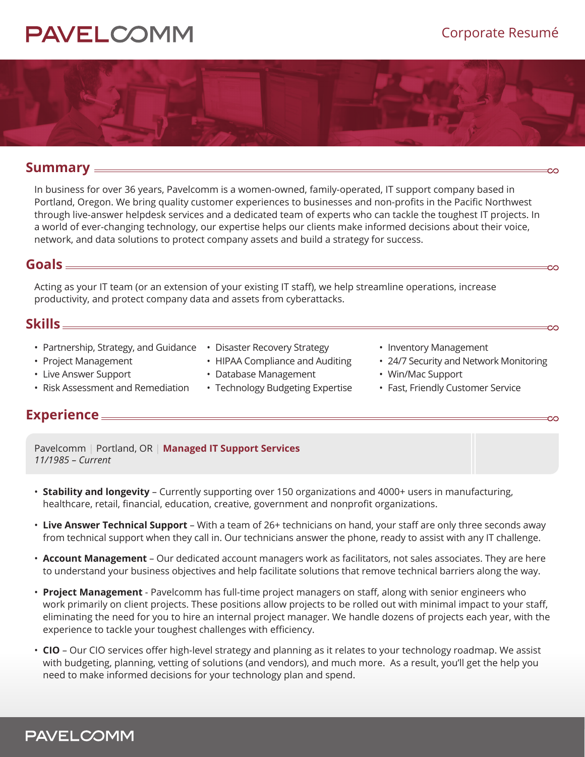# **PAVELCOMN**



### **Summary**

In business for over 36 years, Pavelcomm is a women-owned, family-operated, IT support company based in Portland, Oregon. We bring quality customer experiences to businesses and non-profits in the Pacific Northwest through live-answer helpdesk services and a dedicated team of experts who can tackle the toughest IT projects. In a world of ever-changing technology, our expertise helps our clients make informed decisions about their voice, network, and data solutions to protect company assets and build a strategy for success.

## **Goals**

Acting as your IT team (or an extension of your existing IT staff), we help streamline operations, increase productivity, and protect company data and assets from cyberattacks.

## **Skills**

• Partnership, Strategy, and Guidance • Disaster Recovery Strategy

• Risk Assessment and Remediation

- Project Management
- Live Answer Support
- 
- HIPAA Compliance and Auditing
- Database Management
- Technology Budgeting Expertise
- Inventory Management
- 24/7 Security and Network Monitoring

CО

- Win/Mac Support
- Fast, Friendly Customer Service

## **Experience**

Pavelcomm | Portland, OR | **Managed IT Support Services** *11/1985 – Current* 

- **Stability and longevity** Currently supporting over 150 organizations and 4000+ users in manufacturing, healthcare, retail, financial, education, creative, government and nonprofit organizations.
- **Live Answer Technical Support** With a team of 26+ technicians on hand, your staff are only three seconds away from technical support when they call in. Our technicians answer the phone, ready to assist with any IT challenge.
- **Account Management** Our dedicated account managers work as facilitators, not sales associates. They are here to understand your business objectives and help facilitate solutions that remove technical barriers along the way.
- **Project Management** Pavelcomm has full-time project managers on staff, along with senior engineers who work primarily on client projects. These positions allow projects to be rolled out with minimal impact to your staff, eliminating the need for you to hire an internal project manager. We handle dozens of projects each year, with the experience to tackle your toughest challenges with efficiency.
- **CIO** Our CIO services offer high-level strategy and planning as it relates to your technology roadmap. We assist with budgeting, planning, vetting of solutions (and vendors), and much more. As a result, you'll get the help you need to make informed decisions for your technology plan and spend.

# **PAVELCOMM**